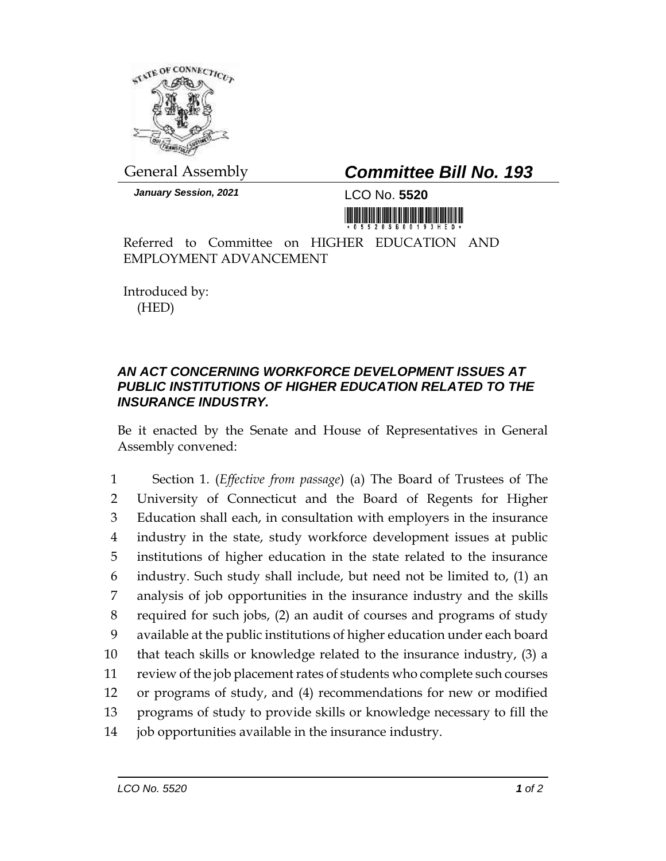

General Assembly *Committee Bill No. 193*

*January Session, 2021* LCO No. **5520**

Referred to Committee on HIGHER EDUCATION AND EMPLOYMENT ADVANCEMENT

Introduced by: (HED)

## *AN ACT CONCERNING WORKFORCE DEVELOPMENT ISSUES AT PUBLIC INSTITUTIONS OF HIGHER EDUCATION RELATED TO THE INSURANCE INDUSTRY.*

Be it enacted by the Senate and House of Representatives in General Assembly convened:

 Section 1. (*Effective from passage*) (a) The Board of Trustees of The University of Connecticut and the Board of Regents for Higher Education shall each, in consultation with employers in the insurance industry in the state, study workforce development issues at public institutions of higher education in the state related to the insurance industry. Such study shall include, but need not be limited to, (1) an analysis of job opportunities in the insurance industry and the skills required for such jobs, (2) an audit of courses and programs of study available at the public institutions of higher education under each board that teach skills or knowledge related to the insurance industry, (3) a review of the job placement rates of students who complete such courses or programs of study, and (4) recommendations for new or modified programs of study to provide skills or knowledge necessary to fill the job opportunities available in the insurance industry.